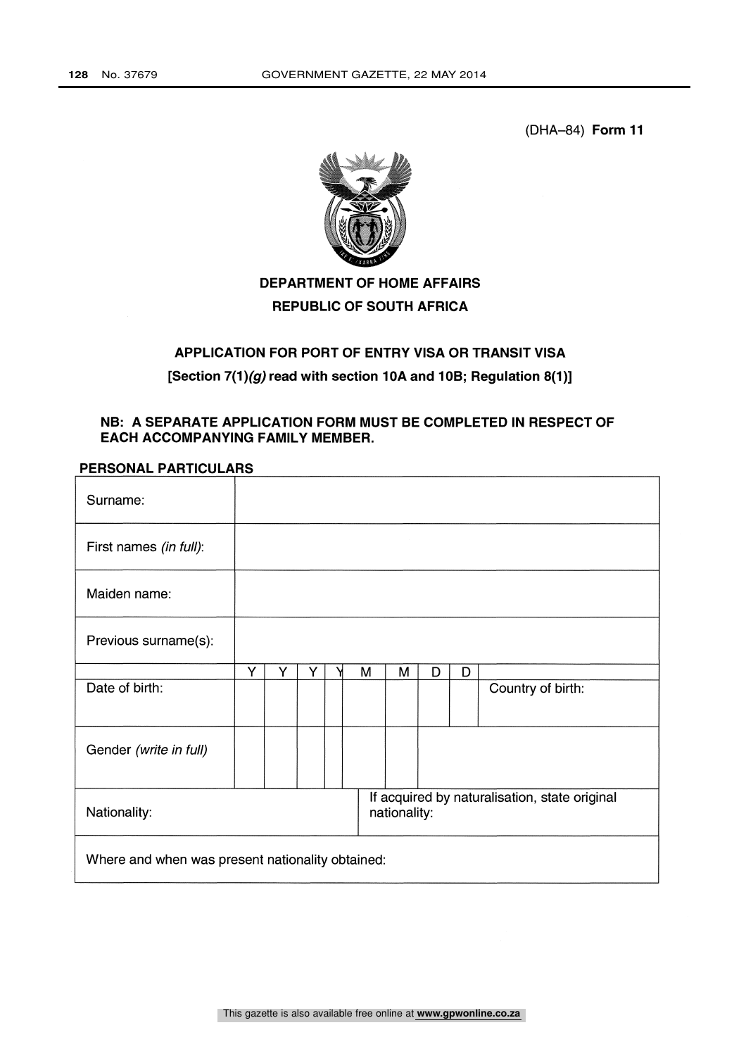(DHA-84) Form 11



# DEPARTMENT OF HOME AFFAIRS REPUBLIC OF SOUTH AFRICA

# APPLICATION FOR PORT OF ENTRY VISA OR TRANSIT VISA [Section 7(1)(g) read with section 10A and 10B; Regulation 8(1)]

### NB: A SEPARATE APPLICATION FORM MUST BE COMPLETED IN RESPECT OF EACH ACCOMPANYING FAMILY MEMBER.

### PERSONAL PARTICULARS

| Surname:                                         |   |   |   |   |              |   |   |                                               |
|--------------------------------------------------|---|---|---|---|--------------|---|---|-----------------------------------------------|
| First names (in full):                           |   |   |   |   |              |   |   |                                               |
| Maiden name:                                     |   |   |   |   |              |   |   |                                               |
| Previous surname(s):                             |   |   |   |   |              |   |   |                                               |
|                                                  | Y | Y | Y | M | M            | D | D |                                               |
| Date of birth:                                   |   |   |   |   |              |   |   | Country of birth:                             |
| Gender (write in full)                           |   |   |   |   |              |   |   |                                               |
| Nationality:                                     |   |   |   |   | nationality: |   |   | If acquired by naturalisation, state original |
| Where and when was present nationality obtained: |   |   |   |   |              |   |   |                                               |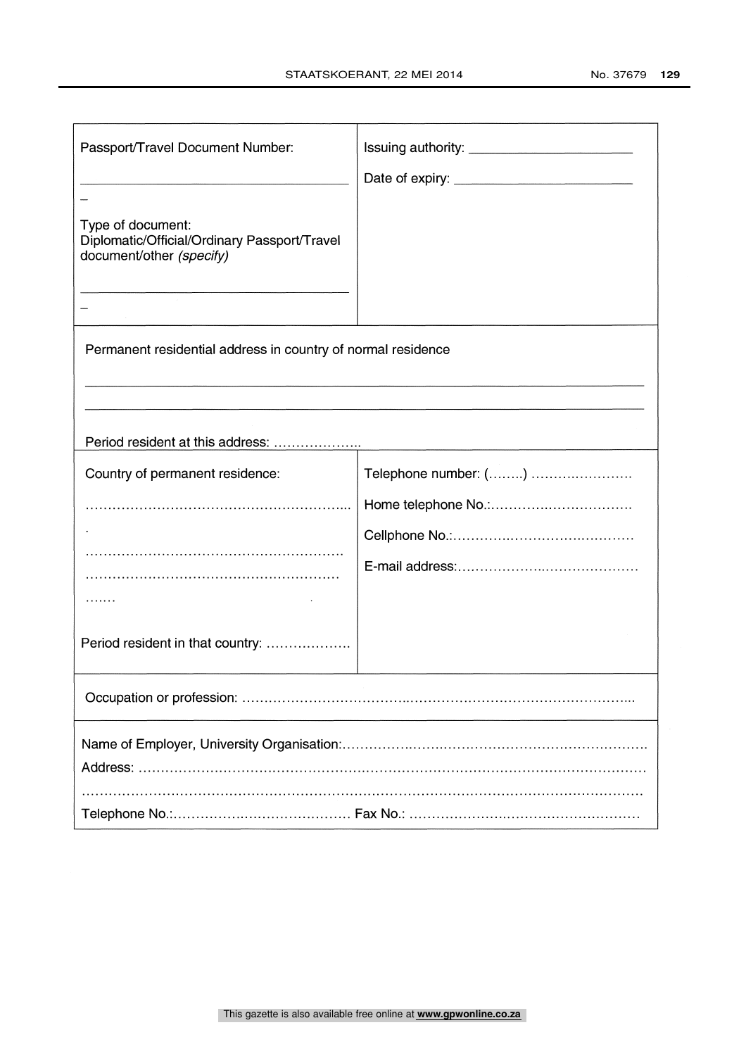| Passport/Travel Document Number:                                                              |                      |
|-----------------------------------------------------------------------------------------------|----------------------|
|                                                                                               |                      |
| Type of document:<br>Diplomatic/Official/Ordinary Passport/Travel<br>document/other (specify) |                      |
|                                                                                               |                      |
| Permanent residential address in country of normal residence                                  |                      |
|                                                                                               |                      |
| Period resident at this address:                                                              |                      |
| Country of permanent residence:                                                               | Telephone number: () |
|                                                                                               |                      |
|                                                                                               |                      |
|                                                                                               |                      |
|                                                                                               |                      |
| Period resident in that country:                                                              |                      |
|                                                                                               |                      |
|                                                                                               |                      |
|                                                                                               |                      |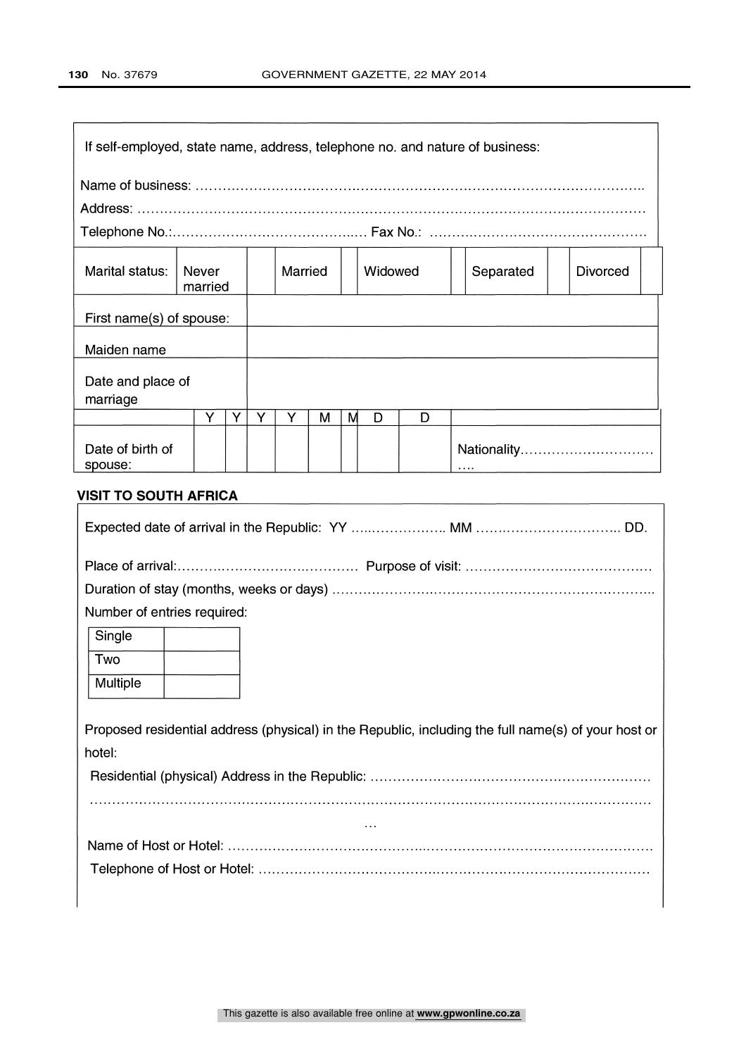|                               |                  |   |   |         |   |   |         |   | If self-employed, state name, address, telephone no. and nature of business: |                 |
|-------------------------------|------------------|---|---|---------|---|---|---------|---|------------------------------------------------------------------------------|-----------------|
|                               |                  |   |   |         |   |   |         |   |                                                                              |                 |
|                               |                  |   |   |         |   |   |         |   |                                                                              |                 |
| Marital status:               | Never<br>married |   |   | Married |   |   | Widowed |   | Separated                                                                    | <b>Divorced</b> |
| First name(s) of spouse:      |                  |   |   |         |   |   |         |   |                                                                              |                 |
| Maiden name                   |                  |   |   |         |   |   |         |   |                                                                              |                 |
| Date and place of<br>marriage |                  |   |   |         |   |   |         |   |                                                                              |                 |
|                               | Y                | Y | Y | Υ       | м | М | D       | D |                                                                              |                 |
| Date of birth of<br>spouse:   |                  |   |   |         |   |   |         |   | .                                                                            | Nationality     |

## VISIT TO SOUTH AFRICA

| Number of entries required:                                                                         |
|-----------------------------------------------------------------------------------------------------|
| Single                                                                                              |
| Two                                                                                                 |
| Multiple                                                                                            |
|                                                                                                     |
| Proposed residential address (physical) in the Republic, including the full name(s) of your host or |
| hotel:                                                                                              |
|                                                                                                     |
|                                                                                                     |
| $\cdots$                                                                                            |
|                                                                                                     |
|                                                                                                     |
|                                                                                                     |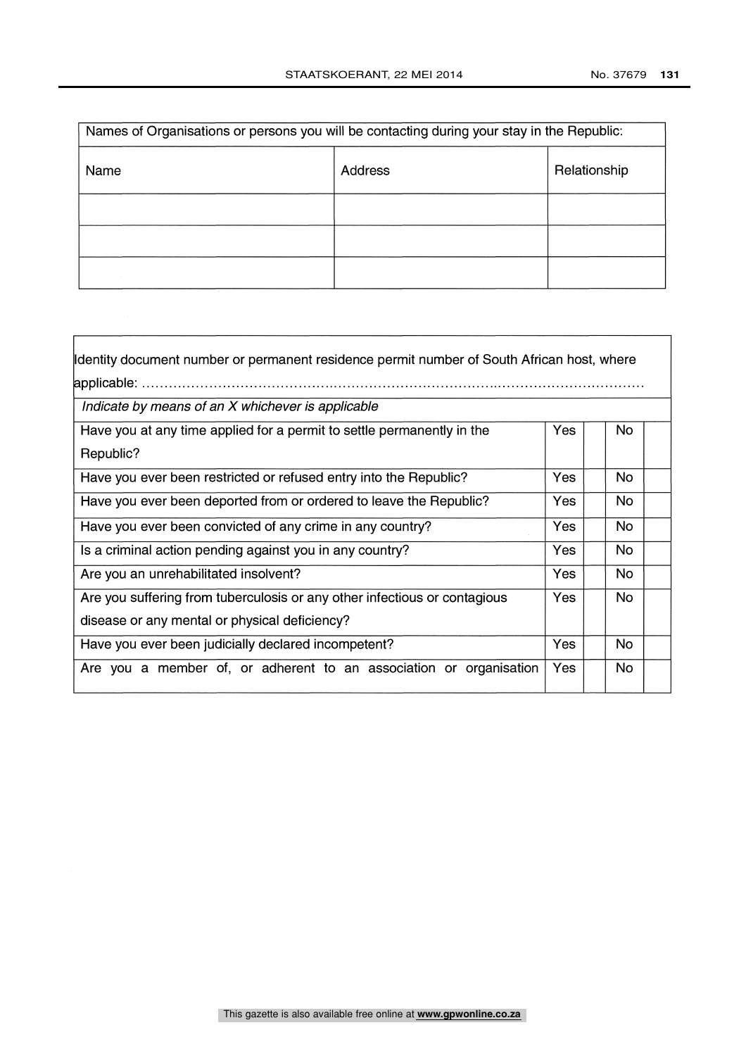$\overline{1}$ 

| Names of Organisations or persons you will be contacting during your stay in the Republic: |         |              |
|--------------------------------------------------------------------------------------------|---------|--------------|
| Name                                                                                       | Address | Relationship |
|                                                                                            |         |              |
|                                                                                            |         |              |
|                                                                                            |         |              |

 $\Gamma$ 

| Identity document number or permanent residence permit number of South African host, where |            |           |
|--------------------------------------------------------------------------------------------|------------|-----------|
|                                                                                            |            |           |
| Indicate by means of an X whichever is applicable                                          |            |           |
| Have you at any time applied for a permit to settle permanently in the                     | Yes        | No.       |
| Republic?                                                                                  |            |           |
| Have you ever been restricted or refused entry into the Republic?                          | Yes        | No.       |
| Have you ever been deported from or ordered to leave the Republic?                         | Yes        | No.       |
| Have you ever been convicted of any crime in any country?                                  | <b>Yes</b> | <b>No</b> |
| Is a criminal action pending against you in any country?                                   | Yes        | <b>No</b> |
| Are you an unrehabilitated insolvent?                                                      | <b>Yes</b> | No        |
| Are you suffering from tuberculosis or any other infectious or contagious                  | <b>Yes</b> | No.       |
| disease or any mental or physical deficiency?                                              |            |           |
| Have you ever been judicially declared incompetent?                                        | Yes        | <b>No</b> |
| Are you a member of, or adherent to an association or organisation                         | Yes        | No.       |
|                                                                                            |            |           |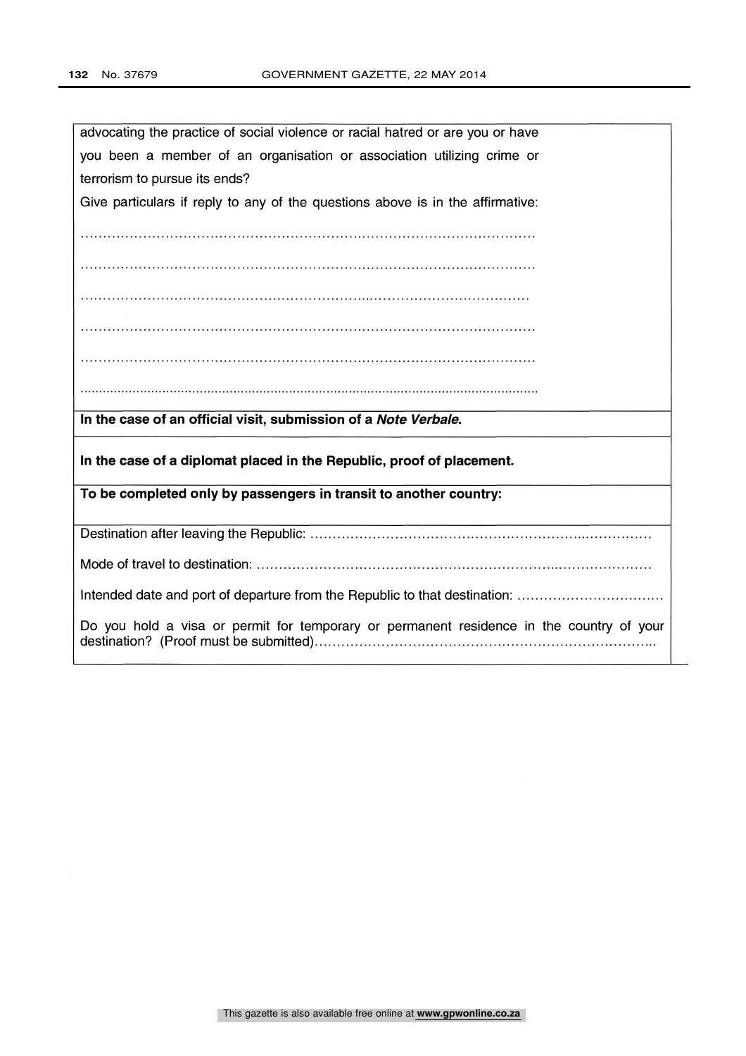| advocating the practice of social violence or racial hatred or are you or have           |
|------------------------------------------------------------------------------------------|
| you been a member of an organisation or association utilizing crime or                   |
| terrorism to pursue its ends?                                                            |
| Give particulars if reply to any of the questions above is in the affirmative:           |
|                                                                                          |
|                                                                                          |
|                                                                                          |
|                                                                                          |
|                                                                                          |
|                                                                                          |
|                                                                                          |
|                                                                                          |
|                                                                                          |
| In the case of an official visit, submission of a Note Verbale.                          |
| In the case of a diplomat placed in the Republic, proof of placement.                    |
|                                                                                          |
| To be completed only by passengers in transit to another country:                        |
|                                                                                          |
|                                                                                          |
|                                                                                          |
| Intended date and port of departure from the Republic to that destination:               |
| Do you hold a visa or permit for temporary or permanent residence in the country of your |
|                                                                                          |
|                                                                                          |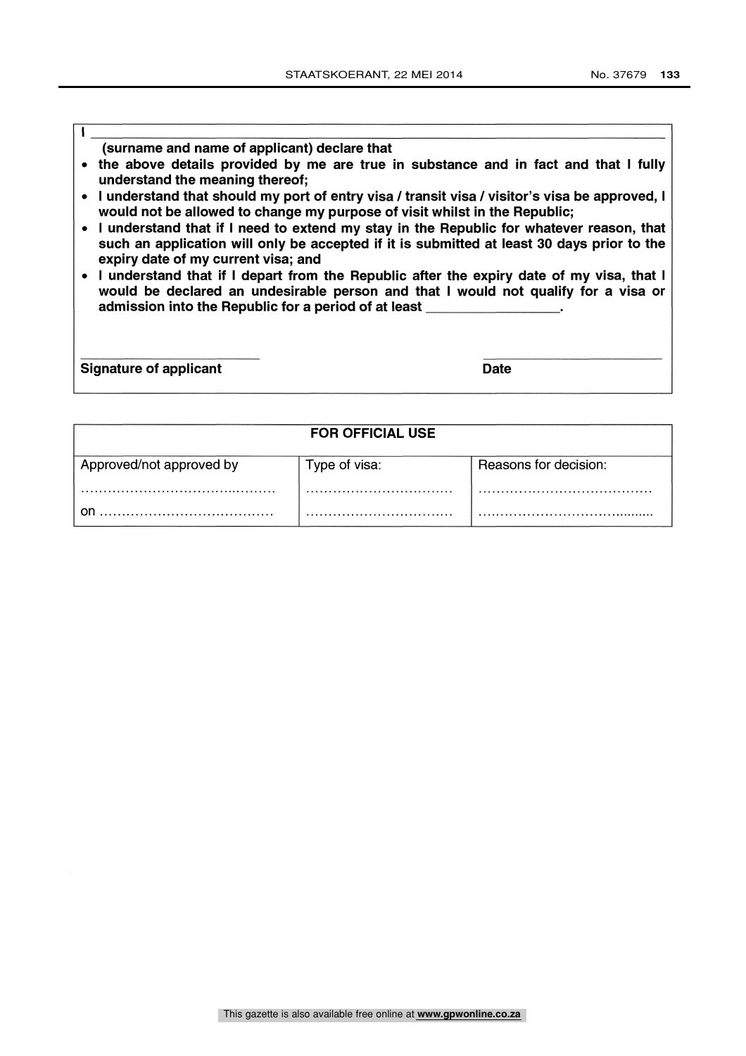#### (surname and name of applicant) declare that

- the above details provided by me are true in substance and in fact and that I fully understand the meaning thereof;
- I understand that should my port of entry visa / transit visa / visitor's visa be approved, I would not be allowed to change my purpose of visit whilst in the Republic;
- I understand that if I need to extend my stay in the Republic for whatever reason, that such an application will only be accepted if it is submitted at least 30 days prior to the expiry date of my current visa; and
- I understand that if I depart from the Republic after the expiry date of my visa, that I would be declared an undesirable person and that I would not qualify for a visa or admission into the Republic for a period of at least

Signature of applicant Date Date Date Date

I

|                          | <b>FOR OFFICIAL USE</b> |                       |
|--------------------------|-------------------------|-----------------------|
| Approved/not approved by | Type of visa:           | Reasons for decision: |
|                          |                         |                       |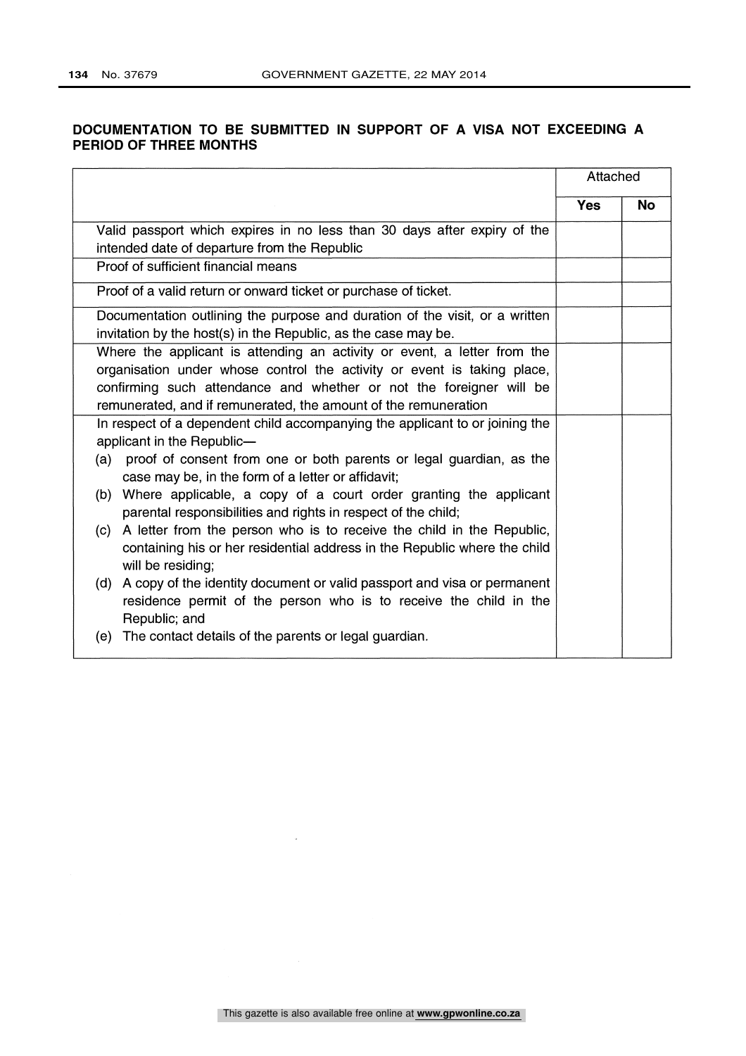## DOCUMENTATION TO BE SUBMITTED IN SUPPORT OF A VISA NOT EXCEEDING A PERIOD OF THREE MONTHS

|                                                                                                                                       |            | Attached  |
|---------------------------------------------------------------------------------------------------------------------------------------|------------|-----------|
|                                                                                                                                       | <b>Yes</b> | <b>No</b> |
| Valid passport which expires in no less than 30 days after expiry of the                                                              |            |           |
| intended date of departure from the Republic                                                                                          |            |           |
| Proof of sufficient financial means                                                                                                   |            |           |
| Proof of a valid return or onward ticket or purchase of ticket.                                                                       |            |           |
| Documentation outlining the purpose and duration of the visit, or a written                                                           |            |           |
| invitation by the host(s) in the Republic, as the case may be.                                                                        |            |           |
| Where the applicant is attending an activity or event, a letter from the                                                              |            |           |
| organisation under whose control the activity or event is taking place,                                                               |            |           |
| confirming such attendance and whether or not the foreigner will be                                                                   |            |           |
| remunerated, and if remunerated, the amount of the remuneration                                                                       |            |           |
| In respect of a dependent child accompanying the applicant to or joining the                                                          |            |           |
| applicant in the Republic-                                                                                                            |            |           |
| proof of consent from one or both parents or legal guardian, as the<br>(a)                                                            |            |           |
| case may be, in the form of a letter or affidavit;                                                                                    |            |           |
| (b) Where applicable, a copy of a court order granting the applicant<br>parental responsibilities and rights in respect of the child; |            |           |
| (c) A letter from the person who is to receive the child in the Republic,                                                             |            |           |
| containing his or her residential address in the Republic where the child<br>will be residing;                                        |            |           |
| A copy of the identity document or valid passport and visa or permanent<br>(d)                                                        |            |           |
| residence permit of the person who is to receive the child in the                                                                     |            |           |
| Republic; and                                                                                                                         |            |           |
| The contact details of the parents or legal guardian.<br>(e)                                                                          |            |           |

 $\bar{\rm s}$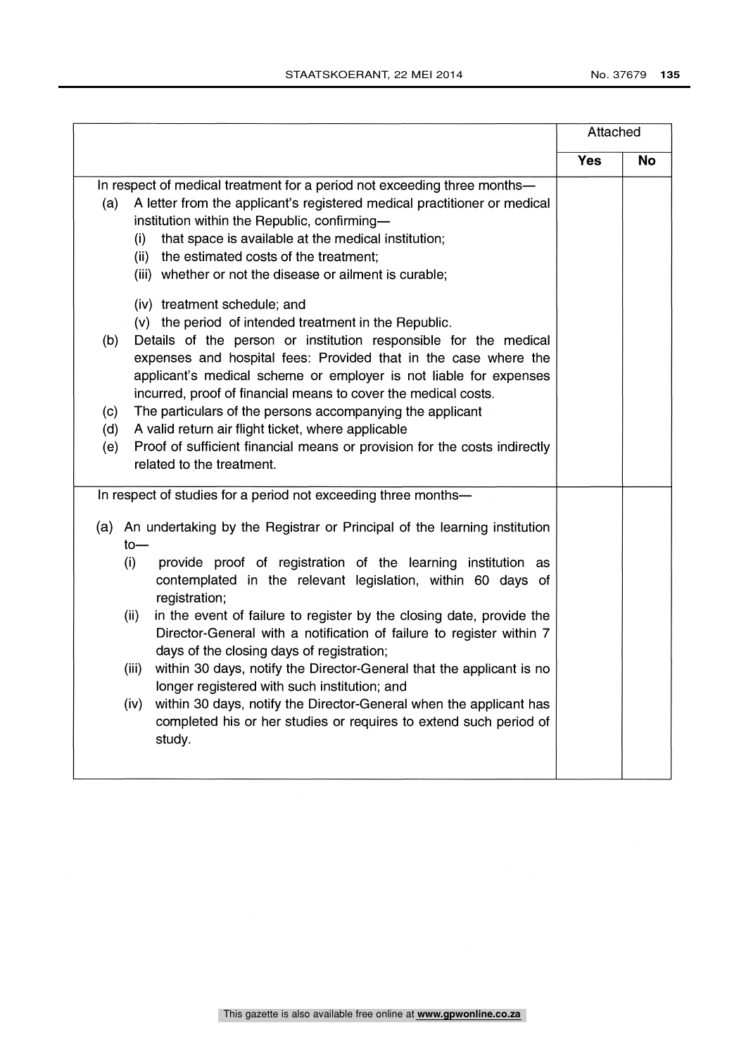|                                                                  |                                                                                                                                                                                                                                                                                                                                                                                                                                                                                                                                                                                                                                                                             | Attached   |           |
|------------------------------------------------------------------|-----------------------------------------------------------------------------------------------------------------------------------------------------------------------------------------------------------------------------------------------------------------------------------------------------------------------------------------------------------------------------------------------------------------------------------------------------------------------------------------------------------------------------------------------------------------------------------------------------------------------------------------------------------------------------|------------|-----------|
|                                                                  |                                                                                                                                                                                                                                                                                                                                                                                                                                                                                                                                                                                                                                                                             | <b>Yes</b> | <b>No</b> |
| (a)<br>(i)                                                       | In respect of medical treatment for a period not exceeding three months-<br>A letter from the applicant's registered medical practitioner or medical<br>institution within the Republic, confirming-<br>that space is available at the medical institution;<br>(ii) the estimated costs of the treatment;<br>(iii) whether or not the disease or ailment is curable;                                                                                                                                                                                                                                                                                                        |            |           |
| (b)<br>(c)<br>(d)<br>(e)                                         | (iv) treatment schedule; and<br>(v) the period of intended treatment in the Republic.<br>Details of the person or institution responsible for the medical<br>expenses and hospital fees: Provided that in the case where the<br>applicant's medical scheme or employer is not liable for expenses<br>incurred, proof of financial means to cover the medical costs.<br>The particulars of the persons accompanying the applicant<br>A valid return air flight ticket, where applicable<br>Proof of sufficient financial means or provision for the costs indirectly<br>related to the treatment.                                                                            |            |           |
|                                                                  | In respect of studies for a period not exceeding three months-                                                                                                                                                                                                                                                                                                                                                                                                                                                                                                                                                                                                              |            |           |
| $to-$<br>(i)<br>registration;<br>(ii)<br>(iii)<br>(iv)<br>study. | (a) An undertaking by the Registrar or Principal of the learning institution<br>provide proof of registration of the learning institution as<br>contemplated in the relevant legislation, within 60 days of<br>in the event of failure to register by the closing date, provide the<br>Director-General with a notification of failure to register within 7<br>days of the closing days of registration;<br>within 30 days, notify the Director-General that the applicant is no<br>longer registered with such institution; and<br>within 30 days, notify the Director-General when the applicant has<br>completed his or her studies or requires to extend such period of |            |           |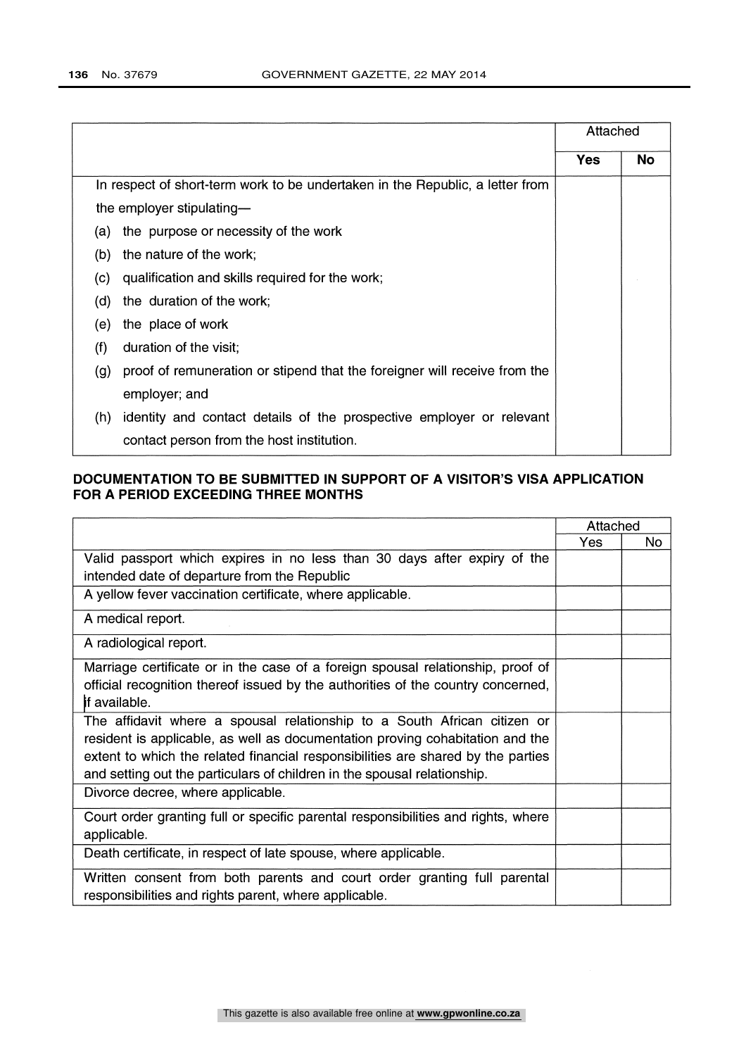|     |                                                                               | Attached |           |
|-----|-------------------------------------------------------------------------------|----------|-----------|
|     |                                                                               | Yes      | <b>No</b> |
|     | In respect of short-term work to be undertaken in the Republic, a letter from |          |           |
|     | the employer stipulating-                                                     |          |           |
| (a) | the purpose or necessity of the work                                          |          |           |
| (b) | the nature of the work;                                                       |          |           |
| (C) | qualification and skills required for the work,                               |          |           |
| (d) | the duration of the work;                                                     |          |           |
| (e) | the place of work                                                             |          |           |
| (f) | duration of the visit;                                                        |          |           |
| (g) | proof of remuneration or stipend that the foreigner will receive from the     |          |           |
|     | employer; and                                                                 |          |           |
| (h) | identity and contact details of the prospective employer or relevant          |          |           |
|     | contact person from the host institution.                                     |          |           |
|     |                                                                               |          |           |

## DOCUMENTATION TO BE SUBMITTED IN SUPPORT OF A VISITOR'S VISA APPLICATION FOR A PERIOD EXCEEDING THREE MONTHS

|                                                                                   | Attached   |     |
|-----------------------------------------------------------------------------------|------------|-----|
|                                                                                   | <b>Yes</b> | No. |
| Valid passport which expires in no less than 30 days after expiry of the          |            |     |
| intended date of departure from the Republic                                      |            |     |
| A yellow fever vaccination certificate, where applicable.                         |            |     |
| A medical report.                                                                 |            |     |
| A radiological report.                                                            |            |     |
| Marriage certificate or in the case of a foreign spousal relationship, proof of   |            |     |
| official recognition thereof issued by the authorities of the country concerned,  |            |     |
| <b>if available.</b>                                                              |            |     |
| The affidavit where a spousal relationship to a South African citizen or          |            |     |
| resident is applicable, as well as documentation proving cohabitation and the     |            |     |
| extent to which the related financial responsibilities are shared by the parties  |            |     |
| and setting out the particulars of children in the spousal relationship.          |            |     |
| Divorce decree, where applicable.                                                 |            |     |
| Court order granting full or specific parental responsibilities and rights, where |            |     |
| applicable.                                                                       |            |     |
| Death certificate, in respect of late spouse, where applicable.                   |            |     |
| Written consent from both parents and court order granting full parental          |            |     |
| responsibilities and rights parent, where applicable.                             |            |     |